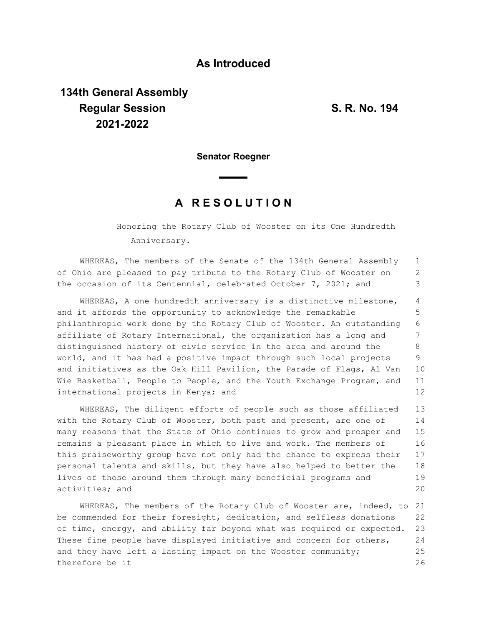## **As Introduced**

## **134th General Assembly Regular Session S. R. No. 194 2021-2022**

**Senator Roegner**

## **A R E S O L U T I O N**

Honoring the Rotary Club of Wooster on its One Hundredth Anniversary.

WHEREAS, The members of the Senate of the 134th General Assembly of Ohio are pleased to pay tribute to the Rotary Club of Wooster on the occasion of its Centennial, celebrated October 7, 2021; and 1 2 3

WHEREAS, A one hundredth anniversary is a distinctive milestone, and it affords the opportunity to acknowledge the remarkable philanthropic work done by the Rotary Club of Wooster. An outstanding affiliate of Rotary International, the organization has a long and distinguished history of civic service in the area and around the world, and it has had a positive impact through such local projects and initiatives as the Oak Hill Pavilion, the Parade of Flags, Al Van Wie Basketball, People to People, and the Youth Exchange Program, and international projects in Kenya; and 4 5 6 7 8 9 10 11 12

WHEREAS, The diligent efforts of people such as those affiliated with the Rotary Club of Wooster, both past and present, are one of many reasons that the State of Ohio continues to grow and prosper and remains a pleasant place in which to live and work. The members of this praiseworthy group have not only had the chance to express their personal talents and skills, but they have also helped to better the lives of those around them through many beneficial programs and activities; and 13 14 15 16 17 18 19 20

WHEREAS, The members of the Rotary Club of Wooster are, indeed, to 21 be commended for their foresight, dedication, and selfless donations of time, energy, and ability far beyond what was required or expected. These fine people have displayed initiative and concern for others, and they have left a lasting impact on the Wooster community; therefore be it 22 23 24 25 26